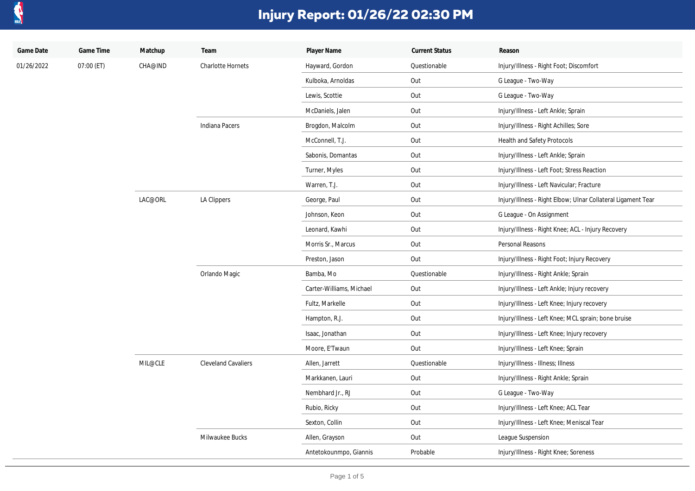

| Game Date  | Game Time  | Matchup | Team                       | Player Name              | <b>Current Status</b> | Reason                                                       |
|------------|------------|---------|----------------------------|--------------------------|-----------------------|--------------------------------------------------------------|
| 01/26/2022 | 07:00 (ET) | CHA@IND | <b>Charlotte Hornets</b>   | Hayward, Gordon          | Questionable          | Injury/Illness - Right Foot; Discomfort                      |
|            |            |         |                            | Kulboka, Arnoldas        | Out                   | G League - Two-Way                                           |
|            |            |         |                            | Lewis, Scottie           | Out                   | G League - Two-Way                                           |
|            |            |         |                            | McDaniels, Jalen         | Out                   | Injury/Illness - Left Ankle; Sprain                          |
|            |            |         | Indiana Pacers             | Brogdon, Malcolm         | Out                   | Injury/Illness - Right Achilles; Sore                        |
|            |            |         |                            | McConnell, T.J.          | Out                   | Health and Safety Protocols                                  |
|            |            |         |                            | Sabonis, Domantas        | Out                   | Injury/Illness - Left Ankle; Sprain                          |
|            |            |         |                            | Turner, Myles            | Out                   | Injury/Illness - Left Foot; Stress Reaction                  |
|            |            |         |                            | Warren, T.J.             | Out                   | Injury/Illness - Left Navicular; Fracture                    |
|            |            | LAC@ORL | LA Clippers                | George, Paul             | Out                   | Injury/Illness - Right Elbow; Ulnar Collateral Ligament Tear |
|            |            |         |                            | Johnson, Keon            | Out                   | G League - On Assignment                                     |
|            |            |         |                            | Leonard, Kawhi           | Out                   | Injury/Illness - Right Knee; ACL - Injury Recovery           |
|            |            |         |                            | Morris Sr., Marcus       | Out                   | Personal Reasons                                             |
|            |            |         |                            | Preston, Jason           | Out                   | Injury/Illness - Right Foot; Injury Recovery                 |
|            |            |         | Orlando Magic              | Bamba, Mo                | Questionable          | Injury/Illness - Right Ankle; Sprain                         |
|            |            |         |                            | Carter-Williams, Michael | Out                   | Injury/Illness - Left Ankle; Injury recovery                 |
|            |            |         |                            | Fultz, Markelle          | Out                   | Injury/Illness - Left Knee; Injury recovery                  |
|            |            |         |                            | Hampton, R.J.            | Out                   | Injury/Illness - Left Knee; MCL sprain; bone bruise          |
|            |            |         |                            | Isaac, Jonathan          | Out                   | Injury/Illness - Left Knee; Injury recovery                  |
|            |            |         |                            | Moore, E'Twaun           | Out                   | Injury/Illness - Left Knee; Sprain                           |
|            |            | MIL@CLE | <b>Cleveland Cavaliers</b> | Allen, Jarrett           | Questionable          | Injury/Illness - Illness; Illness                            |
|            |            |         |                            | Markkanen, Lauri         | Out                   | Injury/Illness - Right Ankle; Sprain                         |
|            |            |         |                            | Nembhard Jr., RJ         | Out                   | G League - Two-Way                                           |
|            |            |         |                            | Rubio, Ricky             | Out                   | Injury/Illness - Left Knee; ACL Tear                         |
|            |            |         |                            | Sexton, Collin           | Out                   | Injury/Illness - Left Knee; Meniscal Tear                    |
|            |            |         | Milwaukee Bucks            | Allen, Grayson           | Out                   | League Suspension                                            |
|            |            |         |                            | Antetokounmpo, Giannis   | Probable              | Injury/Illness - Right Knee; Soreness                        |
|            |            |         |                            |                          |                       |                                                              |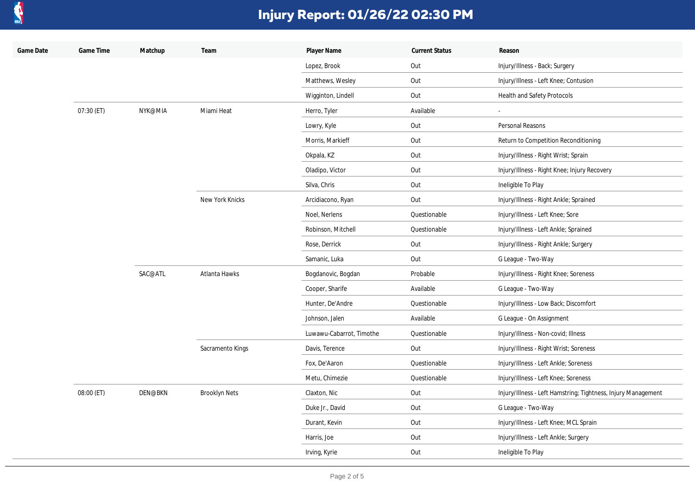

| Game Date | Game Time  | Matchup        | Team                 | Player Name              | <b>Current Status</b> | Reason                                                        |
|-----------|------------|----------------|----------------------|--------------------------|-----------------------|---------------------------------------------------------------|
|           |            |                |                      | Lopez, Brook             | Out                   | Injury/Illness - Back; Surgery                                |
|           |            |                |                      | Matthews, Wesley         | Out                   | Injury/Illness - Left Knee; Contusion                         |
|           |            |                |                      | Wigginton, Lindell       | Out                   | Health and Safety Protocols                                   |
|           | 07:30 (ET) | NYK@MIA        | Miami Heat           | Herro, Tyler             | Available             |                                                               |
|           |            |                |                      | Lowry, Kyle              | Out                   | Personal Reasons                                              |
|           |            |                |                      | Morris, Markieff         | Out                   | Return to Competition Reconditioning                          |
|           |            |                |                      | Okpala, KZ               | Out                   | Injury/Illness - Right Wrist; Sprain                          |
|           |            |                |                      | Oladipo, Victor          | Out                   | Injury/Illness - Right Knee; Injury Recovery                  |
|           |            |                |                      | Silva, Chris             | Out                   | Ineligible To Play                                            |
|           |            |                | New York Knicks      | Arcidiacono, Ryan        | Out                   | Injury/Illness - Right Ankle; Sprained                        |
|           |            |                |                      | Noel, Nerlens            | Questionable          | Injury/Illness - Left Knee; Sore                              |
|           |            |                |                      | Robinson, Mitchell       | Questionable          | Injury/Illness - Left Ankle; Sprained                         |
|           |            |                |                      | Rose, Derrick            | Out                   | Injury/Illness - Right Ankle; Surgery                         |
|           |            |                |                      | Samanic, Luka            | Out                   | G League - Two-Way                                            |
|           |            | SAC@ATL        | Atlanta Hawks        | Bogdanovic, Bogdan       | Probable              | Injury/Illness - Right Knee; Soreness                         |
|           |            |                |                      | Cooper, Sharife          | Available             | G League - Two-Way                                            |
|           |            |                |                      | Hunter, De'Andre         | Questionable          | Injury/Illness - Low Back; Discomfort                         |
|           |            |                |                      | Johnson, Jalen           | Available             | G League - On Assignment                                      |
|           |            |                |                      | Luwawu-Cabarrot, Timothe | Questionable          | Injury/Illness - Non-covid; Illness                           |
|           |            |                | Sacramento Kings     | Davis, Terence           | Out                   | Injury/Illness - Right Wrist; Soreness                        |
|           |            |                |                      | Fox, De'Aaron            | Questionable          | Injury/Illness - Left Ankle; Soreness                         |
|           |            |                |                      | Metu, Chimezie           | Questionable          | Injury/Illness - Left Knee; Soreness                          |
|           | 08:00 (ET) | <b>DEN@BKN</b> | <b>Brooklyn Nets</b> | Claxton, Nic             | Out                   | Injury/Illness - Left Hamstring; Tightness, Injury Management |
|           |            |                |                      | Duke Jr., David          | Out                   | G League - Two-Way                                            |
|           |            |                |                      | Durant, Kevin            | Out                   | Injury/Illness - Left Knee; MCL Sprain                        |
|           |            |                |                      | Harris, Joe              | Out                   | Injury/Illness - Left Ankle; Surgery                          |
|           |            |                |                      | Irving, Kyrie            | Out                   | Ineligible To Play                                            |
|           |            |                |                      |                          |                       |                                                               |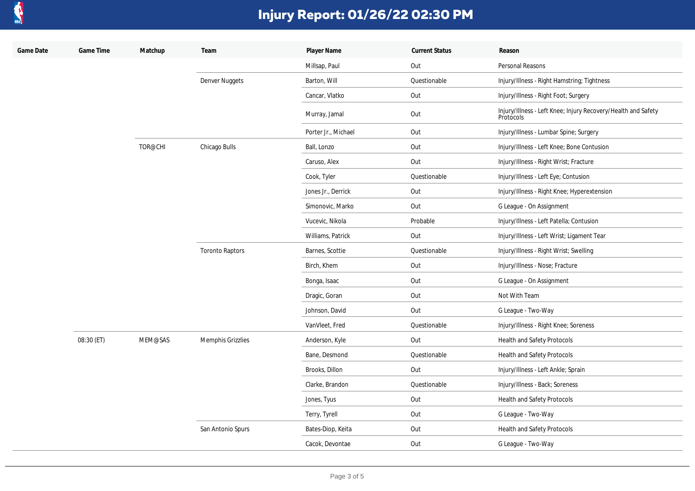

| Game Date | Game Time  | Matchup | Team                   | Player Name         | <b>Current Status</b> | Reason                                                                     |
|-----------|------------|---------|------------------------|---------------------|-----------------------|----------------------------------------------------------------------------|
|           |            |         |                        | Millsap, Paul       | Out                   | Personal Reasons                                                           |
|           |            |         | Denver Nuggets         | Barton, Will        | Questionable          | Injury/Illness - Right Hamstring; Tightness                                |
|           |            |         |                        | Cancar, Vlatko      | Out                   | Injury/Illness - Right Foot; Surgery                                       |
|           |            |         |                        | Murray, Jamal       | Out                   | Injury/Illness - Left Knee; Injury Recovery/Health and Safety<br>Protocols |
|           |            |         |                        | Porter Jr., Michael | Out                   | Injury/Illness - Lumbar Spine; Surgery                                     |
|           |            | TOR@CHI | Chicago Bulls          | Ball, Lonzo         | Out                   | Injury/Illness - Left Knee; Bone Contusion                                 |
|           |            |         |                        | Caruso, Alex        | Out                   | Injury/Illness - Right Wrist; Fracture                                     |
|           |            |         |                        | Cook, Tyler         | Questionable          | Injury/Illness - Left Eye; Contusion                                       |
|           |            |         |                        | Jones Jr., Derrick  | Out                   | Injury/Illness - Right Knee; Hyperextension                                |
|           |            |         |                        | Simonovic, Marko    | Out                   | G League - On Assignment                                                   |
|           |            |         |                        | Vucevic, Nikola     | Probable              | Injury/Illness - Left Patella; Contusion                                   |
|           |            |         |                        | Williams, Patrick   | Out                   | Injury/Illness - Left Wrist; Ligament Tear                                 |
|           |            |         | <b>Toronto Raptors</b> | Barnes, Scottie     | Questionable          | Injury/Illness - Right Wrist; Swelling                                     |
|           |            |         |                        | Birch, Khem         | Out                   | Injury/Illness - Nose; Fracture                                            |
|           |            |         |                        | Bonga, Isaac        | Out                   | G League - On Assignment                                                   |
|           |            |         |                        | Dragic, Goran       | Out                   | Not With Team                                                              |
|           |            |         |                        | Johnson, David      | Out                   | G League - Two-Way                                                         |
|           |            |         |                        | VanVleet, Fred      | Questionable          | Injury/Illness - Right Knee; Soreness                                      |
|           | 08:30 (ET) | MEM@SAS | Memphis Grizzlies      | Anderson, Kyle      | Out                   | Health and Safety Protocols                                                |
|           |            |         |                        | Bane, Desmond       | Questionable          | Health and Safety Protocols                                                |
|           |            |         |                        | Brooks, Dillon      | Out                   | Injury/Illness - Left Ankle; Sprain                                        |
|           |            |         |                        | Clarke, Brandon     | Questionable          | Injury/Illness - Back; Soreness                                            |
|           |            |         |                        | Jones, Tyus         | Out                   | Health and Safety Protocols                                                |
|           |            |         |                        | Terry, Tyrell       | Out                   | G League - Two-Way                                                         |
|           |            |         | San Antonio Spurs      | Bates-Diop, Keita   | Out                   | Health and Safety Protocols                                                |
|           |            |         |                        | Cacok, Devontae     | Out                   | G League - Two-Way                                                         |
|           |            |         |                        |                     |                       |                                                                            |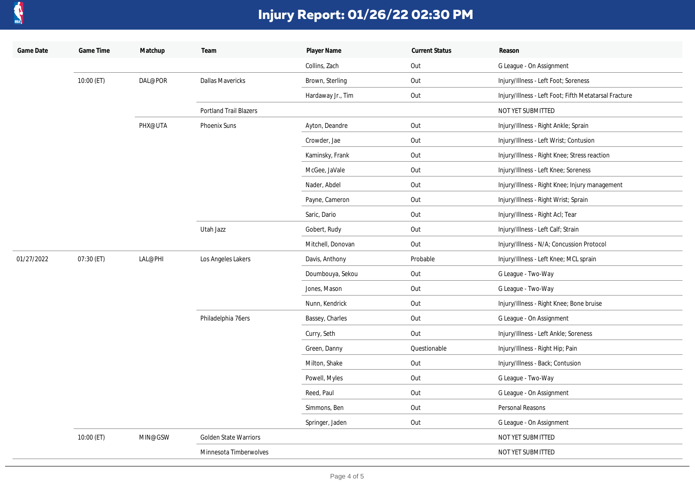

| Game Date  | Game Time  | Matchup | Team                          | Player Name       | <b>Current Status</b> | Reason                                                |
|------------|------------|---------|-------------------------------|-------------------|-----------------------|-------------------------------------------------------|
|            |            |         |                               | Collins, Zach     | Out                   | G League - On Assignment                              |
|            | 10:00 (ET) | DAL@POR | Dallas Mavericks              | Brown, Sterling   | Out                   | Injury/Illness - Left Foot; Soreness                  |
|            |            |         |                               | Hardaway Jr., Tim | Out                   | Injury/Illness - Left Foot; Fifth Metatarsal Fracture |
|            |            |         | <b>Portland Trail Blazers</b> |                   |                       | NOT YET SUBMITTED                                     |
|            |            | PHX@UTA | <b>Phoenix Suns</b>           | Ayton, Deandre    | Out                   | Injury/Illness - Right Ankle; Sprain                  |
|            |            |         |                               | Crowder, Jae      | Out                   | Injury/Illness - Left Wrist; Contusion                |
|            |            |         |                               | Kaminsky, Frank   | Out                   | Injury/Illness - Right Knee; Stress reaction          |
|            |            |         |                               | McGee, JaVale     | Out                   | Injury/Illness - Left Knee; Soreness                  |
|            |            |         |                               | Nader, Abdel      | Out                   | Injury/Illness - Right Knee; Injury management        |
|            |            |         |                               | Payne, Cameron    | Out                   | Injury/Illness - Right Wrist; Sprain                  |
|            |            |         |                               | Saric, Dario      | Out                   | Injury/Illness - Right Acl; Tear                      |
|            |            |         | Utah Jazz                     | Gobert, Rudy      | Out                   | Injury/Illness - Left Calf; Strain                    |
|            |            |         |                               | Mitchell, Donovan | Out                   | Injury/Illness - N/A; Concussion Protocol             |
| 01/27/2022 | 07:30 (ET) | LAL@PHI | Los Angeles Lakers            | Davis, Anthony    | Probable              | Injury/Illness - Left Knee; MCL sprain                |
|            |            |         |                               | Doumbouya, Sekou  | Out                   | G League - Two-Way                                    |
|            |            |         |                               | Jones, Mason      | Out                   | G League - Two-Way                                    |
|            |            |         |                               | Nunn, Kendrick    | Out                   | Injury/Illness - Right Knee; Bone bruise              |
|            |            |         | Philadelphia 76ers            | Bassey, Charles   | Out                   | G League - On Assignment                              |
|            |            |         |                               | Curry, Seth       | Out                   | Injury/Illness - Left Ankle; Soreness                 |
|            |            |         |                               | Green, Danny      | Questionable          | Injury/Illness - Right Hip; Pain                      |
|            |            |         |                               | Milton, Shake     | Out                   | Injury/Illness - Back; Contusion                      |
|            |            |         |                               | Powell, Myles     | Out                   | G League - Two-Way                                    |
|            |            |         |                               | Reed, Paul        | Out                   | G League - On Assignment                              |
|            |            |         |                               | Simmons, Ben      | Out                   | Personal Reasons                                      |
|            |            |         |                               | Springer, Jaden   | Out                   | G League - On Assignment                              |
|            | 10:00 (ET) | MIN@GSW | Golden State Warriors         |                   |                       | NOT YET SUBMITTED                                     |
|            |            |         | Minnesota Timberwolves        |                   |                       | NOT YET SUBMITTED                                     |
|            |            |         |                               |                   |                       |                                                       |